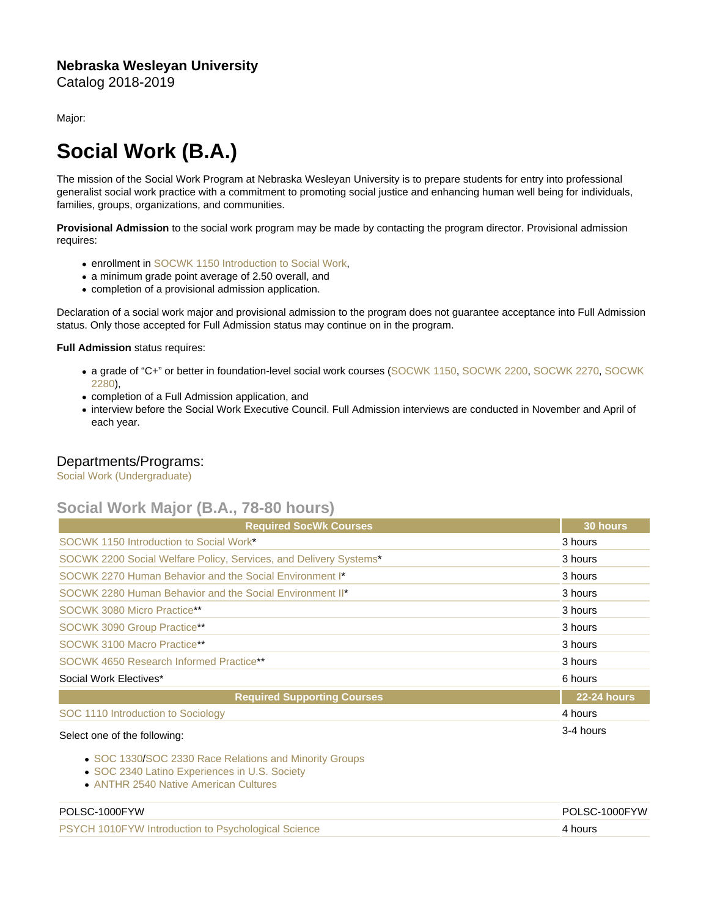## Nebraska Wesleyan University Catalog 2018-2019

Major:

## Social Work (B.A.)

The mission of the Social Work Program at Nebraska Wesleyan University is to prepare students for entry into professional generalist social work practice with a commitment to promoting social justice and enhancing human well being for individuals, families, groups, organizations, and communities.

Provisional Admission to the social work program may be made by contacting the program director. Provisional admission requires:

- **enrollment in [SOCWK 1150 Introduction to Social Work,](https://catalog.nebrwesleyan.edu/cc/2021-2022/course/360209)**
- a minimum grade point average of 2.50 overall, and
- completion of a provisional admission application.

Declaration of a social work major and provisional admission to the program does not guarantee acceptance into Full Admission status. Only those accepted for Full Admission status may continue on in the program.

Full Admission status requires:

- a grade of "C+" or better in foundation-level social work courses ([SOCWK 1150](https://catalog.nebrwesleyan.edu/cc/2021-2022/course/360209), [SOCWK 2200,](https://catalog.nebrwesleyan.edu/cc/2021-2022/course/360210) [SOCWK 2270](https://catalog.nebrwesleyan.edu/cc/2021-2022/course/360211), [SOCWK](https://catalog.nebrwesleyan.edu/cc/2021-2022/course/360212) [2280](https://catalog.nebrwesleyan.edu/cc/2021-2022/course/360212)),
- completion of a Full Admission application, and
- interview before the Social Work Executive Council. Full Admission interviews are conducted in November and April of each year.

## Departments/Programs:

[Social Work \(Undergraduate\)](https://catalog.nebrwesleyan.edu/cc/2018-2019/department/330866)

## Social Work Major (B.A., 78-80 hours)

| <b>Required SocWk Courses</b>                                     | 30 hours    |
|-------------------------------------------------------------------|-------------|
| SOCWK 1150 Introduction to Social Work*                           | 3 hours     |
| SOCWK 2200 Social Welfare Policy, Services, and Delivery Systems* | 3 hours     |
| SOCWK 2270 Human Behavior and the Social Environment I*           | 3 hours     |
| SOCWK 2280 Human Behavior and the Social Environment II*          | 3 hours     |
| SOCWK 3080 Micro Practice**                                       | 3 hours     |
| SOCWK 3090 Group Practice**                                       | 3 hours     |
| SOCWK 3100 Macro Practice**                                       | 3 hours     |
| SOCWK 4650 Research Informed Practice**                           | 3 hours     |
| Social Work Electives*                                            | 6 hours     |
| <b>Required Supporting Courses</b>                                | 22-24 hours |
| SOC 1110 Introduction to Sociology                                | 4 hours     |
| Select one of the following:                                      | 3-4 hours   |

- [SOC 1330](https://catalog.nebrwesleyan.edu/cc/2021-2022/course/360836)/[SOC 2330 Race Relations and Minority Groups](https://catalog.nebrwesleyan.edu/cc/2021-2022/course/360976)
- [SOC 2340 Latino Experiences in U.S. Society](https://catalog.nebrwesleyan.edu/cc/2021-2022/course/360839)
- [ANTHR 2540 Native American Cultures](https://catalog.nebrwesleyan.edu/cc/2021-2022/course/359861)

| <b>PSYCH 1010FYW Introduction to Psychological Science</b><br>4 hours |  |
|-----------------------------------------------------------------------|--|